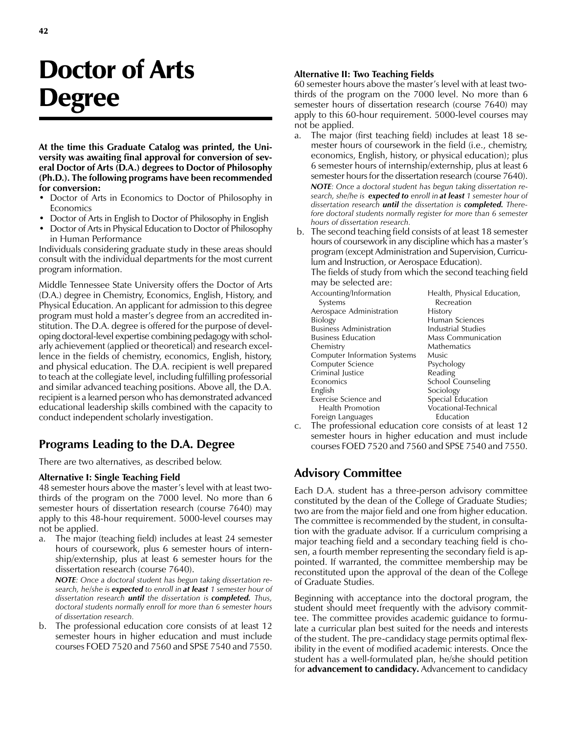# Doctor of Arts Degree

At the time this Graduate Catalog was printed, the University was awaiting final approval for conversion of several Doctor of Arts (D.A.) degrees to Doctor of Philosophy (Ph.D.). The following programs have been recommended for conversion:

- Doctor of Arts in Economics to Doctor of Philosophy in Economics
- Doctor of Arts in English to Doctor of Philosophy in English
- Doctor of Arts in Physical Education to Doctor of Philosophy in Human Performance

Individuals considering graduate study in these areas should consult with the individual departments for the most current program information.

Middle Tennessee State University offers the Doctor of Arts (D.A.) degree in Chemistry, Economics, English, History, and Physical Education. An applicant for admission to this degree program must hold a master's degree from an accredited institution. The D.A. degree is offered for the purpose of developing doctoral-level expertise combining pedagogy with scholarly achievement (applied or theoretical) and research excellence in the fields of chemistry, economics, English, history, and physical education. The D.A. recipient is well prepared to teach at the collegiate level, including fulfilling professorial and similar advanced teaching positions. Above all, the D.A. recipient is a learned person who has demonstrated advanced educational leadership skills combined with the capacity to conduct independent scholarly investigation.

## Programs Leading to the D.A. Degree

There are two alternatives, as described below.

#### Alternative I: Single Teaching Field

48 semester hours above the master's level with at least twothirds of the program on the 7000 level. No more than 6 semester hours of dissertation research (course 7640) may apply to this 48-hour requirement. 5000-level courses may not be applied.

a. The major (teaching field) includes at least 24 semester hours of coursework, plus 6 semester hours of internship/externship, plus at least 6 semester hours for the dissertation research (course 7640).

NOTE: Once a doctoral student has begun taking dissertation research, he/she is expected to enroll in at least 1 semester hour of dissertation research *until* the dissertation is **completed.** Thus, doctoral students normally enroll for more than 6 semester hours of dissertation research.

b. The professional education core consists of at least 12 semester hours in higher education and must include courses FOED 7520 and 7560 and SPSE 7540 and 7550.

#### Alternative II: Two Teaching Fields

60 semester hours above the master's level with at least twothirds of the program on the 7000 level. No more than 6 semester hours of dissertation research (course 7640) may apply to this 60-hour requirement. 5000-level courses may not be applied.

- a. The major (first teaching field) includes at least 18 semester hours of coursework in the field (i.e., chemistry, economics, English, history, or physical education); plus 6 semester hours of internship/externship, plus at least 6 semester hours for the dissertation research (course 7640). NOTE: Once a doctoral student has begun taking dissertation research, she/he is expected to enroll in at least 1 semester hour of dissertation research *until* the dissertation is **completed.** Therefore doctoral students normally register for more than 6 semester hours of dissertation research.
- b. The second teaching field consists of at least 18 semester hours of coursework in any discipline which has a master's program (except Administration and Supervision, Curriculum and Instruction, or Aerospace Education).

The fields of study from which the second teaching field may be selected are:

| Accounting/Information         | Health, Physical Education, |
|--------------------------------|-----------------------------|
| Systems                        | Recreation                  |
| Aerospace Administration       | History                     |
| Biology                        | Human Sciences              |
| <b>Business Administration</b> | Industrial Studies          |
| Business Education             | <b>Mass Communication</b>   |
| Chemistry                      | Mathematics                 |
| Computer Information Systems   | <b>Music</b>                |
| Computer Science               | Psychology                  |
| Criminal Justice               | Reading                     |
| Economics                      | School Counseling           |
| English                        | Sociology                   |
| Exercise Science and           | Special Education           |
| <b>Health Promotion</b>        | Vocational-Technical        |
| Foreign Languages              | Education                   |

c. The professional education core consists of at least 12 semester hours in higher education and must include courses FOED 7520 and 7560 and SPSE 7540 and 7550.

## Advisory Committee

Each D.A. student has a three-person advisory committee constituted by the dean of the College of Graduate Studies; two are from the major field and one from higher education. The committee is recommended by the student, in consultation with the graduate advisor. If a curriculum comprising a major teaching field and a secondary teaching field is chosen, a fourth member representing the secondary field is appointed. If warranted, the committee membership may be reconstituted upon the approval of the dean of the College of Graduate Studies.

Beginning with acceptance into the doctoral program, the student should meet frequently with the advisory committee. The committee provides academic guidance to formulate a curricular plan best suited for the needs and interests of the student. The pre-candidacy stage permits optimal flexibility in the event of modified academic interests. Once the student has a well-formulated plan, he/she should petition for **advancement to candidacy.** Advancement to candidacy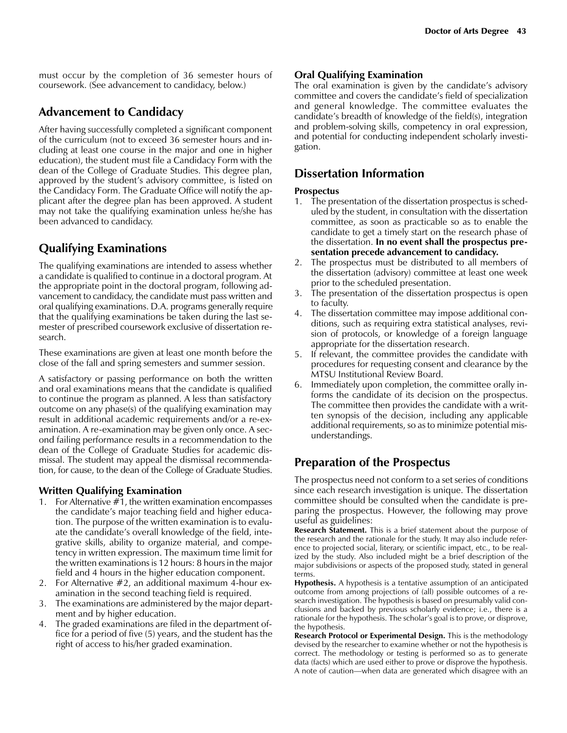must occur by the completion of 36 semester hours of coursework. (See advancement to candidacy, below.)

## Advancement to Candidacy

After having successfully completed a significant component of the curriculum (not to exceed 36 semester hours and including at least one course in the major and one in higher education), the student must file a Candidacy Form with the dean of the College of Graduate Studies. This degree plan, approved by the student's advisory committee, is listed on the Candidacy Form. The Graduate Office will notify the applicant after the degree plan has been approved. A student may not take the qualifying examination unless he/she has been advanced to candidacy.

## Qualifying Examinations

The qualifying examinations are intended to assess whether a candidate is qualified to continue in a doctoral program. At the appropriate point in the doctoral program, following advancement to candidacy, the candidate must pass written and oral qualifying examinations. D.A. programs generally require that the qualifying examinations be taken during the last semester of prescribed coursework exclusive of dissertation research.

These examinations are given at least one month before the close of the fall and spring semesters and summer session.

A satisfactory or passing performance on both the written and oral examinations means that the candidate is qualified to continue the program as planned. A less than satisfactory outcome on any phase(s) of the qualifying examination may result in additional academic requirements and/or a re-examination. A re-examination may be given only once. A second failing performance results in a recommendation to the dean of the College of Graduate Studies for academic dismissal. The student may appeal the dismissal recommendation, for cause, to the dean of the College of Graduate Studies.

## Written Qualifying Examination

- 1. For Alternative #1, the written examination encompasses the candidate's major teaching field and higher education. The purpose of the written examination is to evaluate the candidate's overall knowledge of the field, integrative skills, ability to organize material, and competency in written expression. The maximum time limit for the written examinations is 12 hours: 8 hours in the major field and 4 hours in the higher education component.
- 2. For Alternative #2, an additional maximum 4-hour examination in the second teaching field is required.
- 3. The examinations are administered by the major department and by higher education.
- 4. The graded examinations are filed in the department office for a period of five (5) years, and the student has the right of access to his/her graded examination.

#### Oral Qualifying Examination

The oral examination is given by the candidate's advisory committee and covers the candidate's field of specialization and general knowledge. The committee evaluates the candidate's breadth of knowledge of the field(s), integration and problem-solving skills, competency in oral expression, and potential for conducting independent scholarly investigation.

## Dissertation Information

#### Prospectus

- 1. The presentation of the dissertation prospectus is scheduled by the student, in consultation with the dissertation committee, as soon as practicable so as to enable the candidate to get a timely start on the research phase of the dissertation. In no event shall the prospectus presentation precede advancement to candidacy.
- 2. The prospectus must be distributed to all members of the dissertation (advisory) committee at least one week prior to the scheduled presentation.
- 3. The presentation of the dissertation prospectus is open to faculty.
- 4. The dissertation committee may impose additional conditions, such as requiring extra statistical analyses, revision of protocols, or knowledge of a foreign language appropriate for the dissertation research.
- 5. If relevant, the committee provides the candidate with procedures for requesting consent and clearance by the MTSU Institutional Review Board.
- 6. Immediately upon completion, the committee orally informs the candidate of its decision on the prospectus. The committee then provides the candidate with a written synopsis of the decision, including any applicable additional requirements, so as to minimize potential misunderstandings.

# Preparation of the Prospectus

The prospectus need not conform to a set series of conditions since each research investigation is unique. The dissertation committee should be consulted when the candidate is preparing the prospectus. However, the following may prove useful as guidelines:

Research Statement. This is a brief statement about the purpose of the research and the rationale for the study. It may also include reference to projected social, literary, or scientific impact, etc., to be realized by the study. Also included might be a brief description of the major subdivisions or aspects of the proposed study, stated in general terms.

**Hypothesis.** A hypothesis is a tentative assumption of an anticipated outcome from among projections of (all) possible outcomes of a research investigation. The hypothesis is based on presumably valid conclusions and backed by previous scholarly evidence; i.e., there is a rationale for the hypothesis. The scholar's goal is to prove, or disprove, the hypothesis.

Research Protocol or Experimental Design. This is the methodology devised by the researcher to examine whether or not the hypothesis is correct. The methodology or testing is performed so as to generate data (facts) which are used either to prove or disprove the hypothesis. A note of caution—when data are generated which disagree with an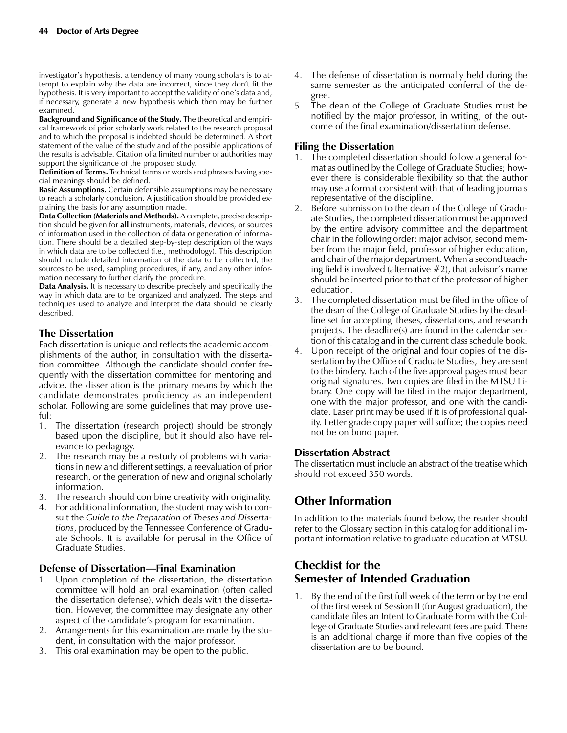investigator's hypothesis, a tendency of many young scholars is to attempt to explain why the data are incorrect, since they don't fit the hypothesis. It is very important to accept the validity of one's data and, if necessary, generate a new hypothesis which then may be further examined.

Background and Significance of the Study. The theoretical and empirical framework of prior scholarly work related to the research proposal and to which the proposal is indebted should be determined. A short statement of the value of the study and of the possible applications of the results is advisable. Citation of a limited number of authorities may support the significance of the proposed study.

Definition of Terms. Technical terms or words and phrases having special meanings should be defined.

Basic Assumptions. Certain defensible assumptions may be necessary to reach a scholarly conclusion. A justification should be provided explaining the basis for any assumption made.

Data Collection (Materials and Methods). A complete, precise description should be given for all instruments, materials, devices, or sources of information used in the collection of data or generation of information. There should be a detailed step-by-step description of the ways in which data are to be collected (i.e., methodology). This description should include detailed information of the data to be collected, the sources to be used, sampling procedures, if any, and any other information necessary to further clarify the procedure.

Data Analysis. It is necessary to describe precisely and specifically the way in which data are to be organized and analyzed. The steps and techniques used to analyze and interpret the data should be clearly described.

## The Dissertation

Each dissertation is unique and reflects the academic accomplishments of the author, in consultation with the dissertation committee. Although the candidate should confer frequently with the dissertation committee for mentoring and advice, the dissertation is the primary means by which the candidate demonstrates proficiency as an independent scholar. Following are some guidelines that may prove useful:

- 1. The dissertation (research project) should be strongly based upon the discipline, but it should also have relevance to pedagogy.
- 2. The research may be a restudy of problems with variations in new and different settings, a reevaluation of prior research, or the generation of new and original scholarly information.
- 3. The research should combine creativity with originality.
- 4. For additional information, the student may wish to consult the Guide to the Preparation of Theses and Dissertations, produced by the Tennessee Conference of Graduate Schools. It is available for perusal in the Office of Graduate Studies.

#### Defense of Dissertation—Final Examination

- 1. Upon completion of the dissertation, the dissertation committee will hold an oral examination (often called the dissertation defense), which deals with the dissertation. However, the committee may designate any other aspect of the candidate's program for examination.
- 2. Arrangements for this examination are made by the student, in consultation with the major professor.
- 3. This oral examination may be open to the public.
- 4. The defense of dissertation is normally held during the same semester as the anticipated conferral of the degree.
- 5. The dean of the College of Graduate Studies must be notified by the major professor, in writing, of the outcome of the final examination/dissertation defense.

#### Filing the Dissertation

- 1. The completed dissertation should follow a general format as outlined by the College of Graduate Studies; however there is considerable flexibility so that the author may use a format consistent with that of leading journals representative of the discipline.
- 2. Before submission to the dean of the College of Graduate Studies, the completed dissertation must be approved by the entire advisory committee and the department chair in the following order: major advisor, second member from the major field, professor of higher education, and chair of the major department. When a second teaching field is involved (alternative  $#2$ ), that advisor's name should be inserted prior to that of the professor of higher education.
- 3. The completed dissertation must be filed in the office of the dean of the College of Graduate Studies by the deadline set for accepting theses, dissertations, and research projects. The deadline(s) are found in the calendar section of this catalog and in the current class schedule book.
- 4. Upon receipt of the original and four copies of the dissertation by the Office of Graduate Studies, they are sent to the bindery. Each of the five approval pages must bear original signatures. Two copies are filed in the MTSU Library. One copy will be filed in the major department, one with the major professor, and one with the candidate. Laser print may be used if it is of professional quality. Letter grade copy paper will suffice; the copies need not be on bond paper.

#### Dissertation Abstract

The dissertation must include an abstract of the treatise which should not exceed 350 words.

## Other Information

In addition to the materials found below, the reader should refer to the Glossary section in this catalog for additional important information relative to graduate education at MTSU.

## Checklist for the Semester of Intended Graduation

1. By the end of the first full week of the term or by the end of the first week of Session II (for August graduation), the candidate files an Intent to Graduate Form with the College of Graduate Studies and relevant fees are paid. There is an additional charge if more than five copies of the dissertation are to be bound.